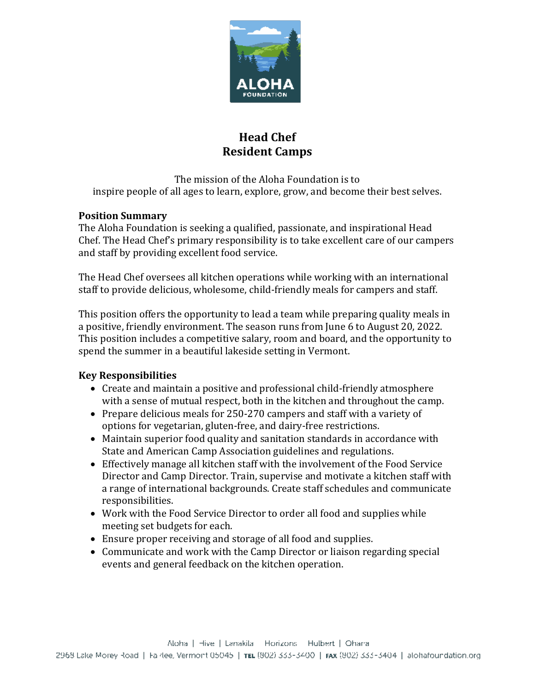

# **Head Chef Resident Camps**

The mission of the Aloha Foundation is to inspire people of all ages to learn, explore, grow, and become their best selves.

### **Position Summary**

The Aloha Foundation is seeking a qualified, passionate, and inspirational Head Chef. The Head Chef's primary responsibility is to take excellent care of our campers and staff by providing excellent food service.

The Head Chef oversees all kitchen operations while working with an international staff to provide delicious, wholesome, child-friendly meals for campers and staff.

This position offers the opportunity to lead a team while preparing quality meals in a positive, friendly environment. The season runs from June 6 to August 20, 2022. This position includes a competitive salary, room and board, and the opportunity to spend the summer in a beautiful lakeside setting in Vermont.

## **Key Responsibilities**

- Create and maintain a positive and professional child-friendly atmosphere with a sense of mutual respect, both in the kitchen and throughout the camp.
- Prepare delicious meals for 250-270 campers and staff with a variety of options for vegetarian, gluten-free, and dairy-free restrictions.
- Maintain superior food quality and sanitation standards in accordance with State and American Camp Association guidelines and regulations.
- Effectively manage all kitchen staff with the involvement of the Food Service Director and Camp Director. Train, supervise and motivate a kitchen staff with a range of international backgrounds. Create staff schedules and communicate responsibilities.
- Work with the Food Service Director to order all food and supplies while meeting set budgets for each.
- Ensure proper receiving and storage of all food and supplies.
- Communicate and work with the Camp Director or liaison regarding special events and general feedback on the kitchen operation.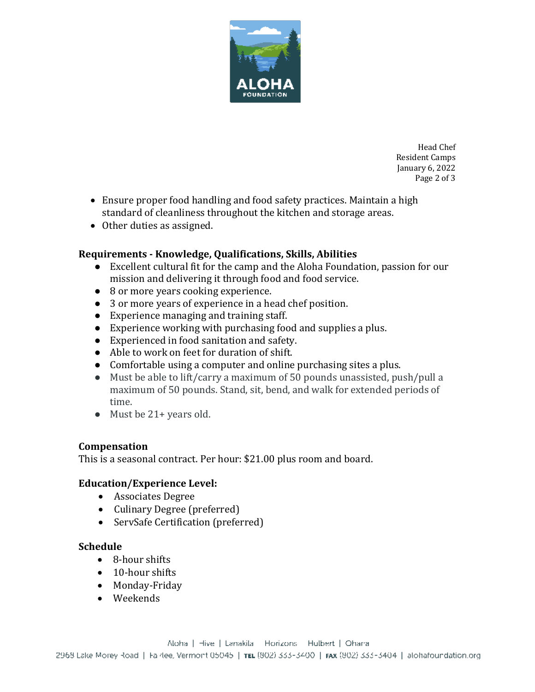

Head Chef Resident Camps January 6, 2022 Page 2 of 3

- Ensure proper food handling and food safety practices. Maintain a high standard of cleanliness throughout the kitchen and storage areas.
- Other duties as assigned.

#### **Requirements - Knowledge, Qualifications, Skills, Abilities**

- Excellent cultural fit for the camp and the Aloha Foundation, passion for our mission and delivering it through food and food service.
- 8 or more years cooking experience.
- 3 or more years of experience in a head chef position.
- Experience managing and training staff.
- Experience working with purchasing food and supplies a plus.
- Experienced in food sanitation and safety.
- Able to work on feet for duration of shift.
- Comfortable using a computer and online purchasing sites a plus.
- Must be able to lift/carry a maximum of 50 pounds unassisted, push/pull a maximum of 50 pounds. Stand, sit, bend, and walk for extended periods of time.
- Must be 21+ years old.

#### **Compensation**

This is a seasonal contract. Per hour: \$21.00 plus room and board.

#### **Education/Experience Level:**

- Associates Degree
- Culinary Degree (preferred)
- ServSafe Certification (preferred)

#### **Schedule**

- 8-hour shifts
- 10-hour shifts
- Monday-Friday
- Weekends